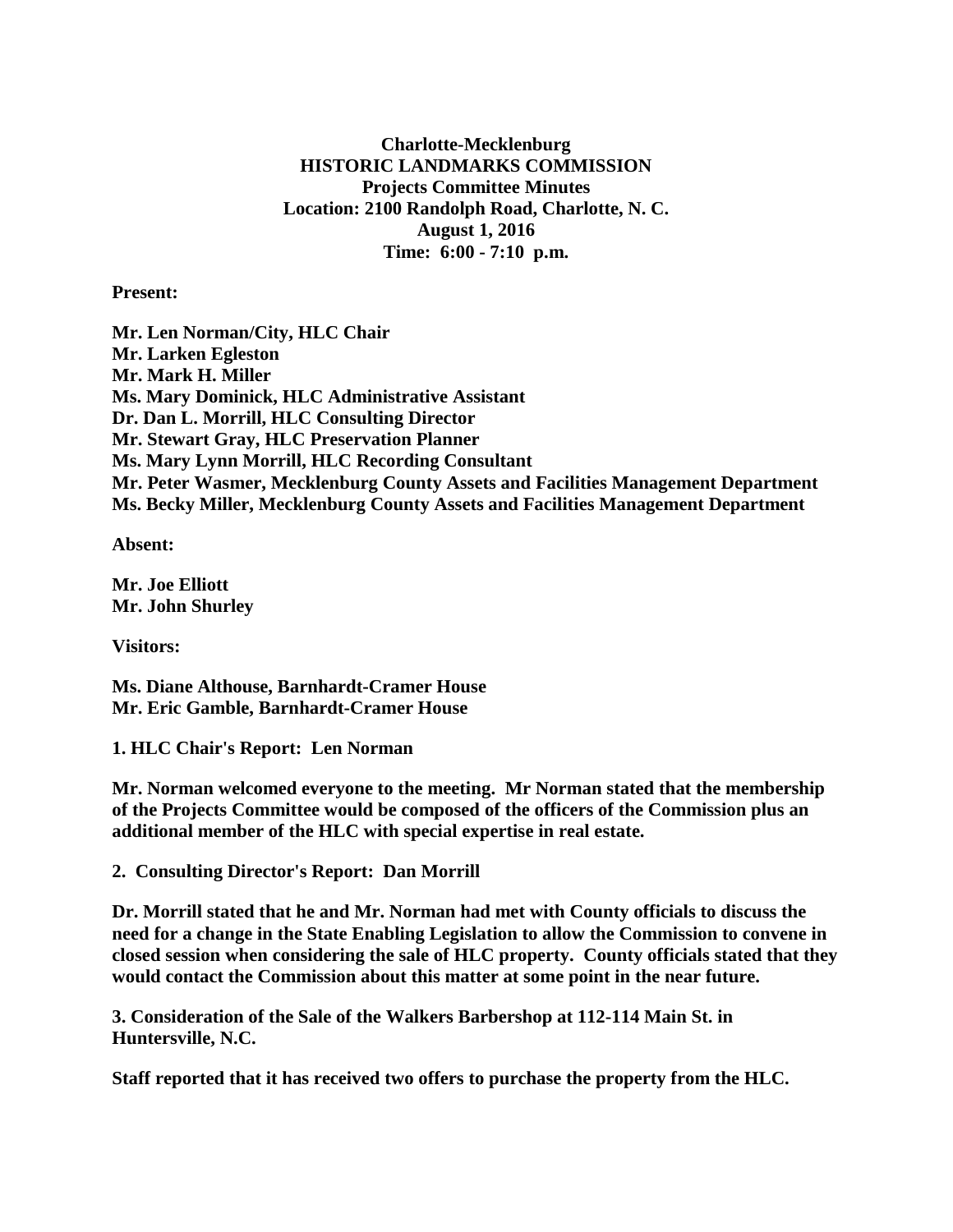**Charlotte-Mecklenburg HISTORIC LANDMARKS COMMISSION Projects Committee Minutes Location: 2100 Randolph Road, Charlotte, N. C. August 1, 2016 Time: 6:00 - 7:10 p.m.**

**Present:**

**Mr. Len Norman/City, HLC Chair Mr. Larken Egleston Mr. Mark H. Miller Ms. Mary Dominick, HLC Administrative Assistant Dr. Dan L. Morrill, HLC Consulting Director Mr. Stewart Gray, HLC Preservation Planner Ms. Mary Lynn Morrill, HLC Recording Consultant Mr. Peter Wasmer, Mecklenburg County Assets and Facilities Management Department Ms. Becky Miller, Mecklenburg County Assets and Facilities Management Department**

**Absent:**

**Mr. Joe Elliott Mr. John Shurley**

**Visitors:**

**Ms. Diane Althouse, Barnhardt-Cramer House Mr. Eric Gamble, Barnhardt-Cramer House**

**1. HLC Chair's Report: Len Norman**

**Mr. Norman welcomed everyone to the meeting. Mr Norman stated that the membership of the Projects Committee would be composed of the officers of the Commission plus an additional member of the HLC with special expertise in real estate.**

**2. Consulting Director's Report: Dan Morrill**

**Dr. Morrill stated that he and Mr. Norman had met with County officials to discuss the need for a change in the State Enabling Legislation to allow the Commission to convene in closed session when considering the sale of HLC property. County officials stated that they would contact the Commission about this matter at some point in the near future.**

**3. Consideration of the Sale of the Walkers Barbershop at 112-114 Main St. in Huntersville, N.C.**

**Staff reported that it has received two offers to purchase the property from the HLC.**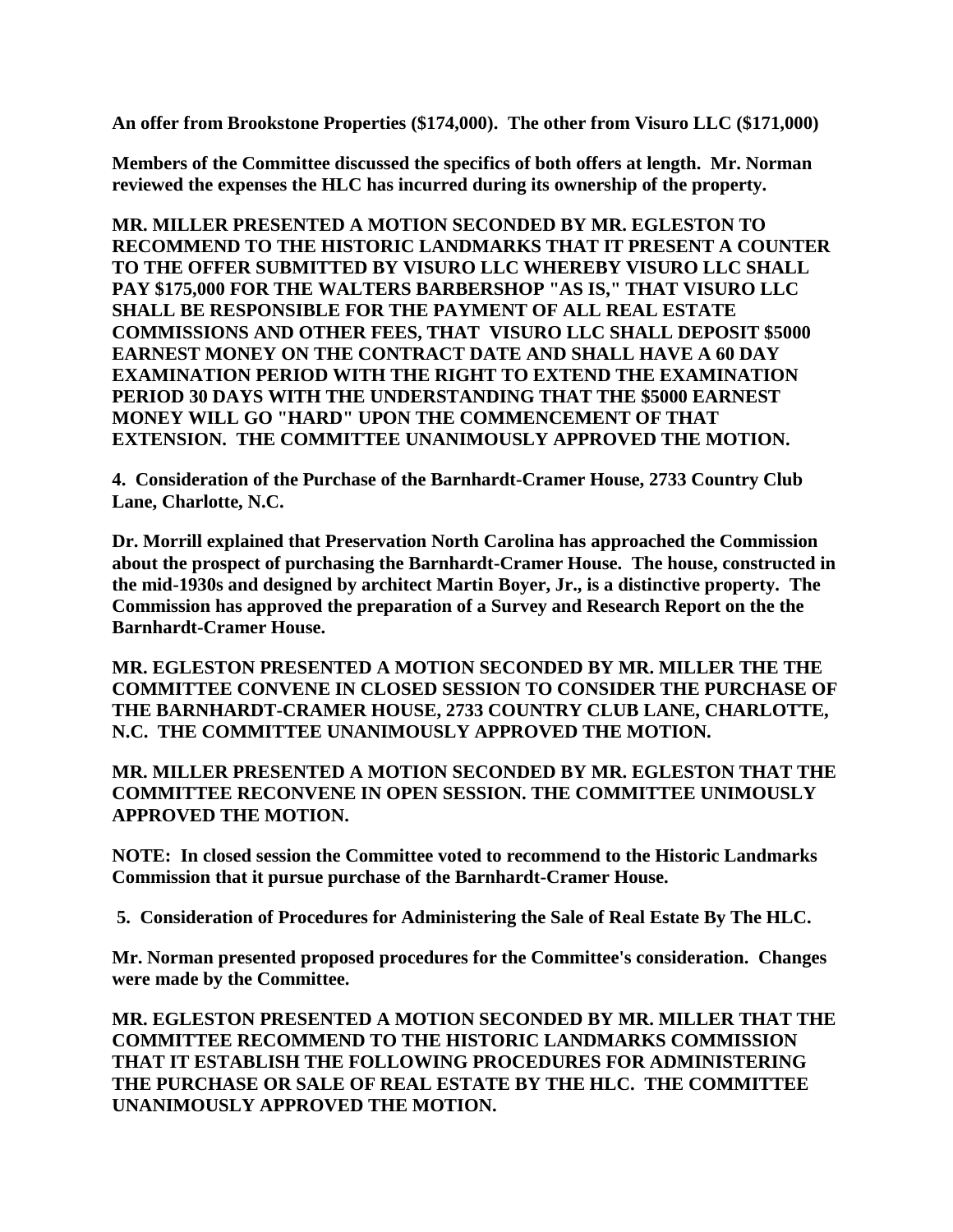**An offer from Brookstone Properties (\$174,000). The other from Visuro LLC (\$171,000)**

**Members of the Committee discussed the specifics of both offers at length. Mr. Norman reviewed the expenses the HLC has incurred during its ownership of the property.** 

**MR. MILLER PRESENTED A MOTION SECONDED BY MR. EGLESTON TO RECOMMEND TO THE HISTORIC LANDMARKS THAT IT PRESENT A COUNTER TO THE OFFER SUBMITTED BY VISURO LLC WHEREBY VISURO LLC SHALL PAY \$175,000 FOR THE WALTERS BARBERSHOP "AS IS," THAT VISURO LLC SHALL BE RESPONSIBLE FOR THE PAYMENT OF ALL REAL ESTATE COMMISSIONS AND OTHER FEES, THAT VISURO LLC SHALL DEPOSIT \$5000 EARNEST MONEY ON THE CONTRACT DATE AND SHALL HAVE A 60 DAY EXAMINATION PERIOD WITH THE RIGHT TO EXTEND THE EXAMINATION PERIOD 30 DAYS WITH THE UNDERSTANDING THAT THE \$5000 EARNEST MONEY WILL GO "HARD" UPON THE COMMENCEMENT OF THAT EXTENSION. THE COMMITTEE UNANIMOUSLY APPROVED THE MOTION.**

**4. Consideration of the Purchase of the Barnhardt-Cramer House, 2733 Country Club Lane, Charlotte, N.C.**

**Dr. Morrill explained that Preservation North Carolina has approached the Commission about the prospect of purchasing the Barnhardt-Cramer House. The house, constructed in the mid-1930s and designed by architect Martin Boyer, Jr., is a distinctive property. The Commission has approved the preparation of a Survey and Research Report on the the Barnhardt-Cramer House.**

**MR. EGLESTON PRESENTED A MOTION SECONDED BY MR. MILLER THE THE COMMITTEE CONVENE IN CLOSED SESSION TO CONSIDER THE PURCHASE OF THE BARNHARDT-CRAMER HOUSE, 2733 COUNTRY CLUB LANE, CHARLOTTE, N.C. THE COMMITTEE UNANIMOUSLY APPROVED THE MOTION.**

**MR. MILLER PRESENTED A MOTION SECONDED BY MR. EGLESTON THAT THE COMMITTEE RECONVENE IN OPEN SESSION. THE COMMITTEE UNIMOUSLY APPROVED THE MOTION.**

**NOTE: In closed session the Committee voted to recommend to the Historic Landmarks Commission that it pursue purchase of the Barnhardt-Cramer House.**

**5. Consideration of Procedures for Administering the Sale of Real Estate By The HLC.**

**Mr. Norman presented proposed procedures for the Committee's consideration. Changes were made by the Committee.**

**MR. EGLESTON PRESENTED A MOTION SECONDED BY MR. MILLER THAT THE COMMITTEE RECOMMEND TO THE HISTORIC LANDMARKS COMMISSION THAT IT ESTABLISH THE FOLLOWING PROCEDURES FOR ADMINISTERING THE PURCHASE OR SALE OF REAL ESTATE BY THE HLC. THE COMMITTEE UNANIMOUSLY APPROVED THE MOTION.**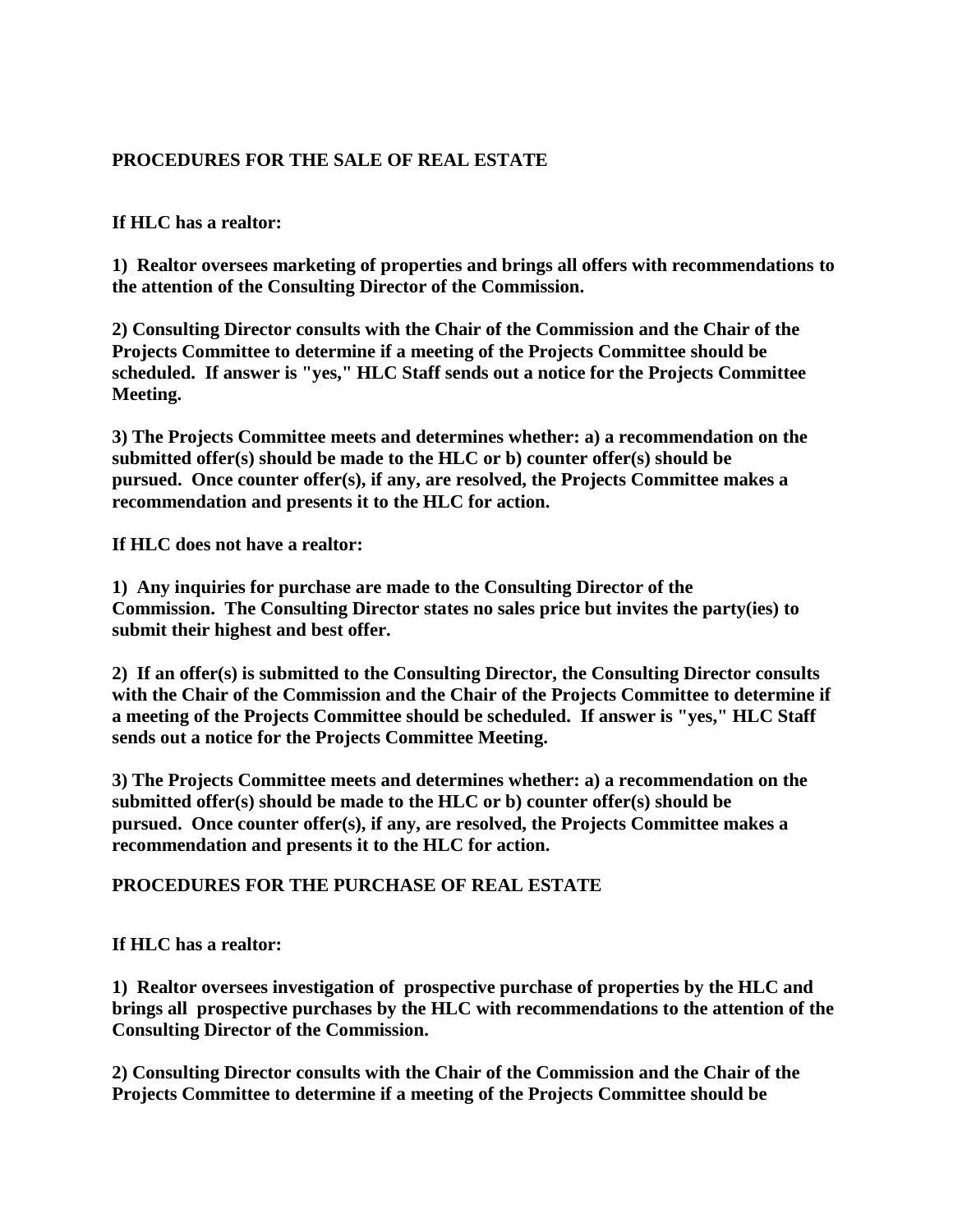## **PROCEDURES FOR THE SALE OF REAL ESTATE**

## **If HLC has a realtor:**

**1) Realtor oversees marketing of properties and brings all offers with recommendations to the attention of the Consulting Director of the Commission.**

**2) Consulting Director consults with the Chair of the Commission and the Chair of the Projects Committee to determine if a meeting of the Projects Committee should be scheduled. If answer is "yes," HLC Staff sends out a notice for the Projects Committee Meeting.**

**3) The Projects Committee meets and determines whether: a) a recommendation on the submitted offer(s) should be made to the HLC or b) counter offer(s) should be pursued. Once counter offer(s), if any, are resolved, the Projects Committee makes a recommendation and presents it to the HLC for action.**

**If HLC does not have a realtor:**

**1) Any inquiries for purchase are made to the Consulting Director of the Commission. The Consulting Director states no sales price but invites the party(ies) to submit their highest and best offer.**

**2) If an offer(s) is submitted to the Consulting Director, the Consulting Director consults with the Chair of the Commission and the Chair of the Projects Committee to determine if a meeting of the Projects Committee should be scheduled. If answer is "yes," HLC Staff sends out a notice for the Projects Committee Meeting.**

**3) The Projects Committee meets and determines whether: a) a recommendation on the submitted offer(s) should be made to the HLC or b) counter offer(s) should be pursued. Once counter offer(s), if any, are resolved, the Projects Committee makes a recommendation and presents it to the HLC for action.**

## **PROCEDURES FOR THE PURCHASE OF REAL ESTATE**

**If HLC has a realtor:**

**1) Realtor oversees investigation of prospective purchase of properties by the HLC and brings all prospective purchases by the HLC with recommendations to the attention of the Consulting Director of the Commission.**

**2) Consulting Director consults with the Chair of the Commission and the Chair of the Projects Committee to determine if a meeting of the Projects Committee should be**